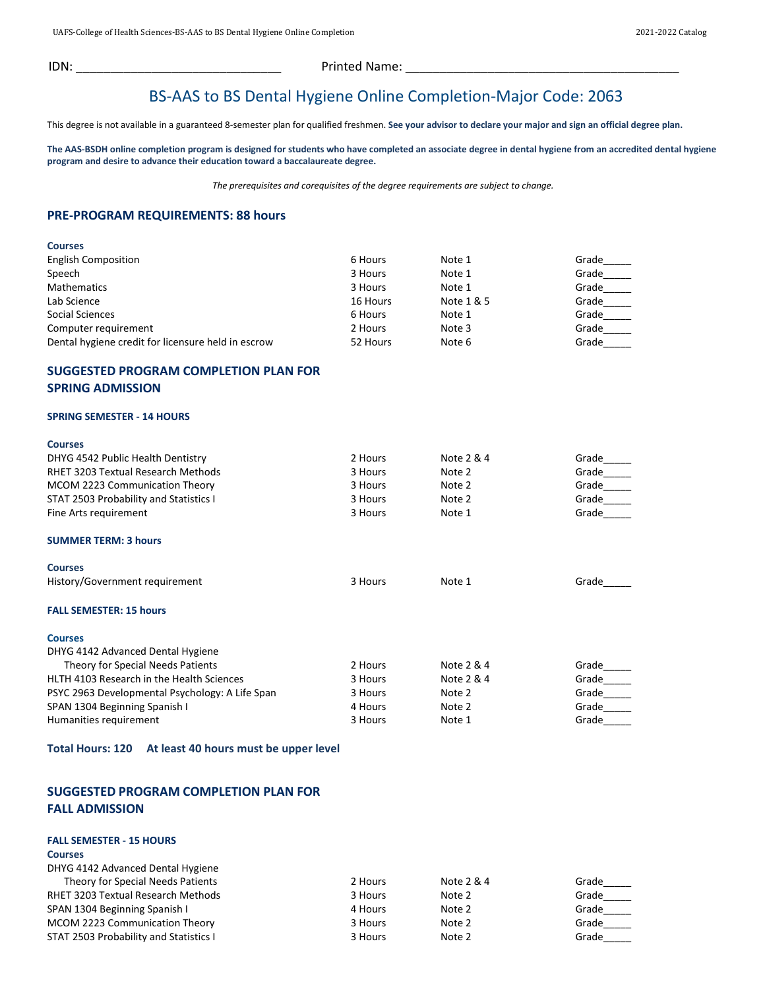IDN: \_\_\_\_\_\_\_\_\_\_\_\_\_\_\_\_\_\_\_\_\_\_\_\_\_\_\_\_\_\_ Printed Name: \_\_\_\_\_\_\_\_\_\_\_\_\_\_\_\_\_\_\_\_\_\_\_\_\_\_\_\_\_\_\_\_\_\_\_\_\_\_\_\_

## BS-AAS to BS Dental Hygiene Online Completion-Major Code: 2063

This degree is not available in a guaranteed 8-semester plan for qualified freshmen. **See your advisor to declare your major and sign an official degree plan.**

**The AAS-BSDH online completion program is designed for students who have completed an associate degree in dental hygiene from an accredited dental hygiene program and desire to advance their education toward a baccalaureate degree.**

*The prerequisites and corequisites of the degree requirements are subject to change.*

#### **PRE-PROGRAM REQUIREMENTS: 88 hours**

| <b>Courses</b>                                     |          |            |       |
|----------------------------------------------------|----------|------------|-------|
| <b>English Composition</b>                         | 6 Hours  | Note 1     | Grade |
| Speech                                             | 3 Hours  | Note 1     | Grade |
| <b>Mathematics</b>                                 | 3 Hours  | Note 1     | Grade |
| Lab Science                                        | 16 Hours | Note 1 & 5 | Grade |
| Social Sciences                                    | 6 Hours  | Note 1     | Grade |
| Computer requirement                               | 2 Hours  | Note 3     | Grade |
| Dental hygiene credit for licensure held in escrow | 52 Hours | Note 6     | Grade |

### **SUGGESTED PROGRAM COMPLETION PLAN FOR SPRING ADMISSION**

#### **SPRING SEMESTER - 14 HOURS**

| <b>Courses</b>                                  |         |            |       |
|-------------------------------------------------|---------|------------|-------|
| DHYG 4542 Public Health Dentistry               | 2 Hours | Note 2 & 4 | Grade |
| <b>RHET 3203 Textual Research Methods</b>       | 3 Hours | Note 2     | Grade |
| MCOM 2223 Communication Theory                  | 3 Hours | Note 2     | Grade |
| <b>STAT 2503 Probability and Statistics I</b>   | 3 Hours | Note 2     | Grade |
| Fine Arts requirement                           | 3 Hours | Note 1     | Grade |
| <b>SUMMER TERM: 3 hours</b>                     |         |            |       |
| <b>Courses</b>                                  |         |            |       |
| History/Government requirement                  | 3 Hours | Note 1     | Grade |
| <b>FALL SEMESTER: 15 hours</b>                  |         |            |       |
| <b>Courses</b>                                  |         |            |       |
| DHYG 4142 Advanced Dental Hygiene               |         |            |       |
| Theory for Special Needs Patients               | 2 Hours | Note 2 & 4 | Grade |
| HLTH 4103 Research in the Health Sciences       | 3 Hours | Note 2 & 4 | Grade |
| PSYC 2963 Developmental Psychology: A Life Span | 3 Hours | Note 2     | Grade |
| SPAN 1304 Beginning Spanish I                   | 4 Hours | Note 2     | Grade |
| Humanities requirement                          | 3 Hours | Note 1     | Grade |

#### **Total Hours: 120 At least 40 hours must be upper level**

#### **SUGGESTED PROGRAM COMPLETION PLAN FOR FALL ADMISSION**

#### **FALL SEMESTER - 15 HOURS**

#### **Courses**

| DHYG 4142 Advanced Dental Hygiene         |         |            |       |
|-------------------------------------------|---------|------------|-------|
| Theory for Special Needs Patients         | 2 Hours | Note 2 & 4 | Grade |
| <b>RHET 3203 Textual Research Methods</b> | 3 Hours | Note 2     | Grade |
| SPAN 1304 Beginning Spanish I             | 4 Hours | Note 2     | Grade |
| MCOM 2223 Communication Theory            | 3 Hours | Note 2     | Grade |
| STAT 2503 Probability and Statistics I    | 3 Hours | Note 2     | Grade |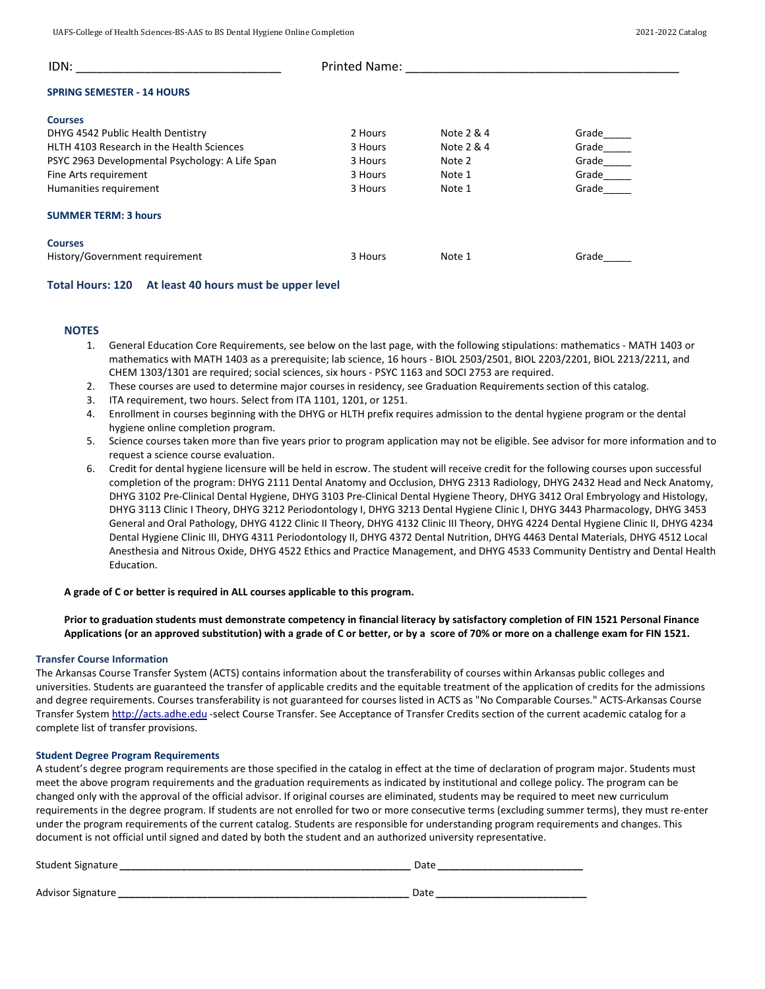| IDN:                                            | <b>Printed Name:</b> |            |       |  |
|-------------------------------------------------|----------------------|------------|-------|--|
| <b>SPRING SEMESTER - 14 HOURS</b>               |                      |            |       |  |
| <b>Courses</b>                                  |                      |            |       |  |
| DHYG 4542 Public Health Dentistry               | 2 Hours              | Note 2 & 4 | Grade |  |
| HLTH 4103 Research in the Health Sciences       | 3 Hours              | Note 2 & 4 | Grade |  |
| PSYC 2963 Developmental Psychology: A Life Span | 3 Hours              | Note 2     | Grade |  |
| Fine Arts requirement                           | 3 Hours              | Note 1     | Grade |  |
| Humanities requirement                          | 3 Hours              | Note 1     | Grade |  |
| <b>SUMMER TERM: 3 hours</b>                     |                      |            |       |  |
| <b>Courses</b>                                  |                      |            |       |  |
| History/Government requirement                  | 3 Hours              | Note 1     | Grade |  |

#### **Total Hours: 120 At least 40 hours must be upper level**

#### **NOTES**

- 1. General Education Core Requirements, see below on the last page, with the following stipulations: mathematics MATH 1403 or mathematics with MATH 1403 as a prerequisite; lab science, 16 hours - BIOL 2503/2501, BIOL 2203/2201, BIOL 2213/2211, and CHEM 1303/1301 are required; social sciences, six hours - PSYC 1163 and SOCI 2753 are required.
- 2. These courses are used to determine major courses in residency, see Graduation Requirements section of this catalog.
- 3. ITA requirement, two hours. Select from ITA 1101, 1201, or 1251.
- 4. Enrollment in courses beginning with the DHYG or HLTH prefix requires admission to the dental hygiene program or the dental hygiene online completion program.
- 5. Science courses taken more than five years prior to program application may not be eligible. See advisor for more information and to request a science course evaluation.
- 6. Credit for dental hygiene licensure will be held in escrow. The student will receive credit for the following courses upon successful completion of the program: DHYG 2111 Dental Anatomy and Occlusion, DHYG 2313 Radiology, DHYG 2432 Head and Neck Anatomy, DHYG 3102 Pre-Clinical Dental Hygiene, DHYG 3103 Pre-Clinical Dental Hygiene Theory, DHYG 3412 Oral Embryology and Histology, DHYG 3113 Clinic I Theory, DHYG 3212 Periodontology I, DHYG 3213 Dental Hygiene Clinic I, DHYG 3443 Pharmacology, DHYG 3453 General and Oral Pathology, DHYG 4122 Clinic II Theory, DHYG 4132 Clinic III Theory, DHYG 4224 Dental Hygiene Clinic II, DHYG 4234 Dental Hygiene Clinic III, DHYG 4311 Periodontology II, DHYG 4372 Dental Nutrition, DHYG 4463 Dental Materials, DHYG 4512 Local Anesthesia and Nitrous Oxide, DHYG 4522 Ethics and Practice Management, and DHYG 4533 Community Dentistry and Dental Health Education.

#### **A grade of C or better is required in ALL courses applicable to this program.**

#### **Prior to graduation students must demonstrate competency in financial literacy by satisfactory completion of FIN 1521 Personal Finance Applications (or an approved substitution) with a grade of C or better, or by a score of 70% or more on a challenge exam for FIN 1521.**

#### **Transfer Course Information**

The Arkansas Course Transfer System (ACTS) contains information about the transferability of courses within Arkansas public colleges and universities. Students are guaranteed the transfer of applicable credits and the equitable treatment of the application of credits for the admissions and degree requirements. Courses transferability is not guaranteed for courses listed in ACTS as "No Comparable Courses." ACTS-Arkansas Course Transfer Syste[m http://acts.adhe.edu](http://www.uafortsmith.edu/shell-cgi/redirect.pl?go=http://acts.adhe.edu) -select Course Transfer. See Acceptance of Transfer Credits section of the current academic catalog for a complete list of transfer provisions.

#### **Student Degree Program Requirements**

A student's degree program requirements are those specified in the catalog in effect at the time of declaration of program major. Students must meet the above program requirements and the graduation requirements as indicated by institutional and college policy. The program can be changed only with the approval of the official advisor. If original courses are eliminated, students may be required to meet new curriculum requirements in the degree program. If students are not enrolled for two or more consecutive terms (excluding summer terms), they must re-enter under the program requirements of the current catalog. Students are responsible for understanding program requirements and changes. This document is not official until signed and dated by both the student and an authorized university representative.

| Student Signature | Date |
|-------------------|------|
|                   |      |
| Advisor Signature | Date |